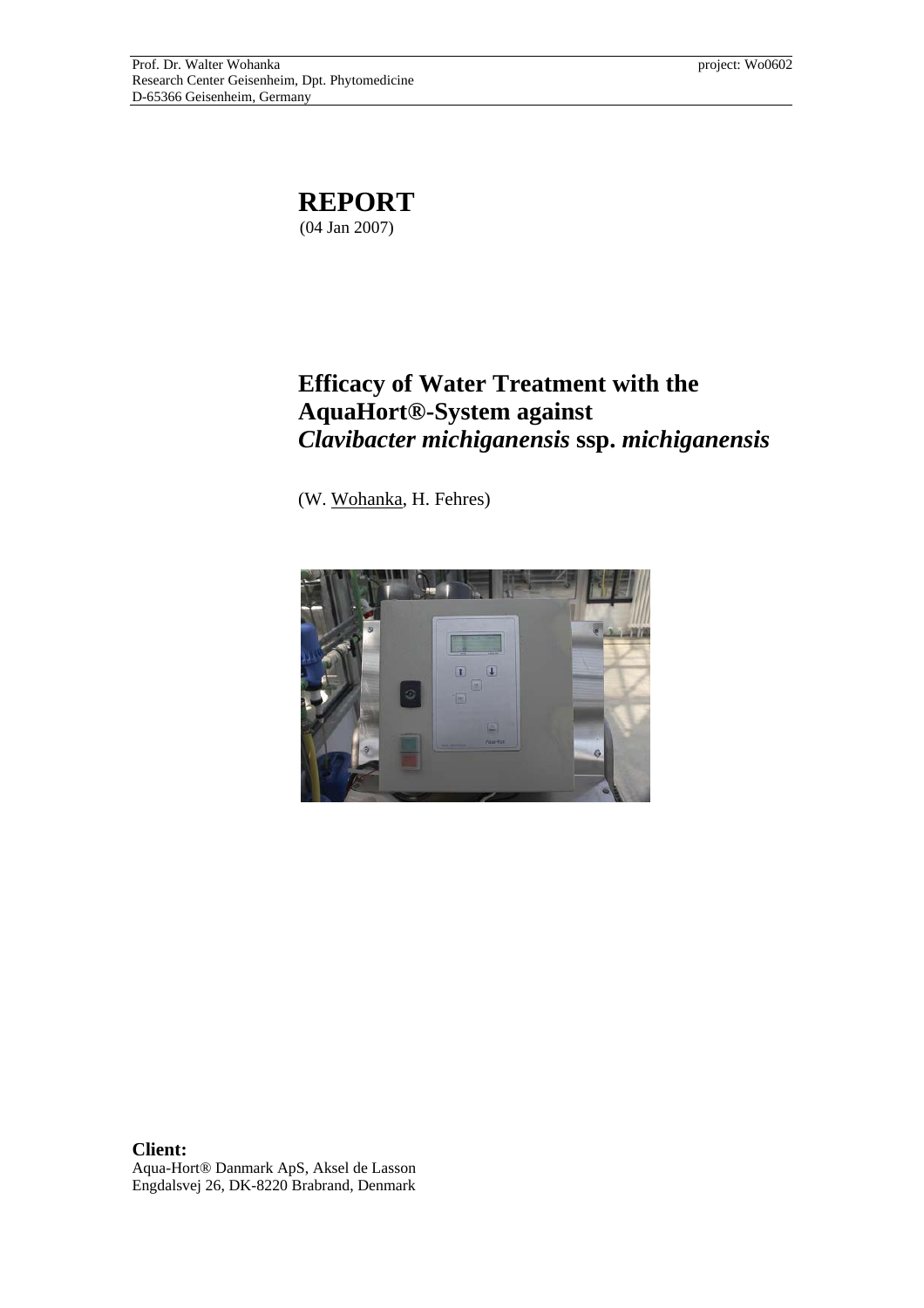

## **Efficacy of Water Treatment with the AquaHort®-System against**  *Clavibacter michiganensis* **ssp.** *michiganensis*

(W. Wohanka, H. Fehres)



**Client:**  Aqua-Hort® Danmark ApS, Aksel de Lasson Engdalsvej 26, DK-8220 Brabrand, Denmark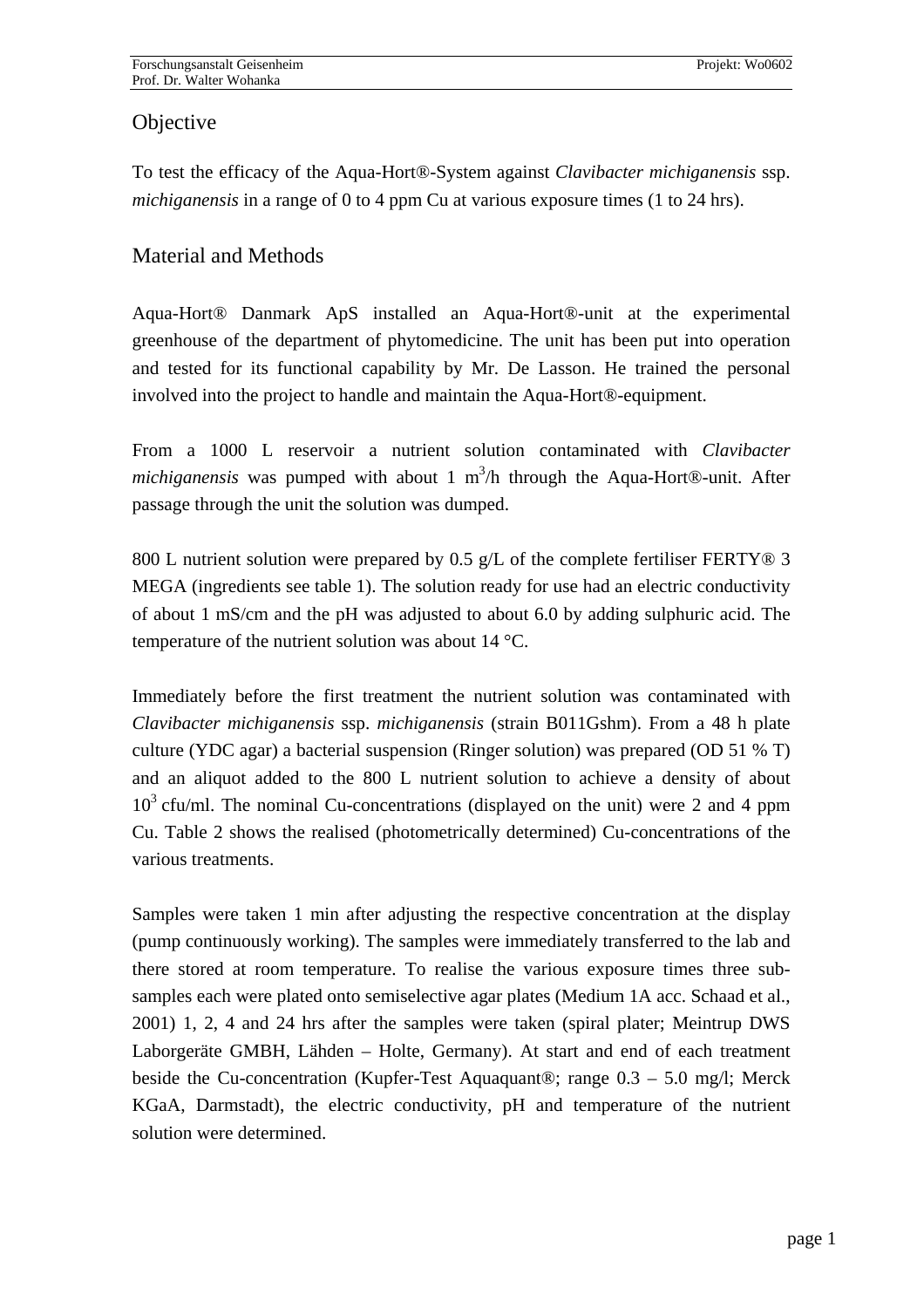## **Objective**

To test the efficacy of the Aqua-Hort®-System against *Clavibacter michiganensis* ssp. *michiganensis* in a range of 0 to 4 ppm Cu at various exposure times (1 to 24 hrs).

## Material and Methods

Aqua-Hort® Danmark ApS installed an Aqua-Hort®-unit at the experimental greenhouse of the department of phytomedicine. The unit has been put into operation and tested for its functional capability by Mr. De Lasson. He trained the personal involved into the project to handle and maintain the Aqua-Hort®-equipment.

From a 1000 L reservoir a nutrient solution contaminated with *Clavibacter michiganensis* was pumped with about 1  $m^3/h$  through the Aqua-Hort®-unit. After passage through the unit the solution was dumped.

800 L nutrient solution were prepared by 0.5 g/L of the complete fertiliser FERTY $\circledR$  3 MEGA (ingredients see table 1). The solution ready for use had an electric conductivity of about 1 mS/cm and the pH was adjusted to about 6.0 by adding sulphuric acid. The temperature of the nutrient solution was about 14 °C.

Immediately before the first treatment the nutrient solution was contaminated with *Clavibacter michiganensis* ssp. *michiganensis* (strain B011Gshm). From a 48 h plate culture (YDC agar) a bacterial suspension (Ringer solution) was prepared (OD 51 % T) and an aliquot added to the 800 L nutrient solution to achieve a density of about  $10<sup>3</sup>$  cfu/ml. The nominal Cu-concentrations (displayed on the unit) were 2 and 4 ppm Cu. Table 2 shows the realised (photometrically determined) Cu-concentrations of the various treatments.

Samples were taken 1 min after adjusting the respective concentration at the display (pump continuously working). The samples were immediately transferred to the lab and there stored at room temperature. To realise the various exposure times three subsamples each were plated onto semiselective agar plates (Medium 1A acc. Schaad et al., 2001) 1, 2, 4 and 24 hrs after the samples were taken (spiral plater; Meintrup DWS Laborgeräte GMBH, Lähden – Holte, Germany). At start and end of each treatment beside the Cu-concentration (Kupfer-Test Aquaquant®; range 0.3 – 5.0 mg/l; Merck KGaA, Darmstadt), the electric conductivity, pH and temperature of the nutrient solution were determined.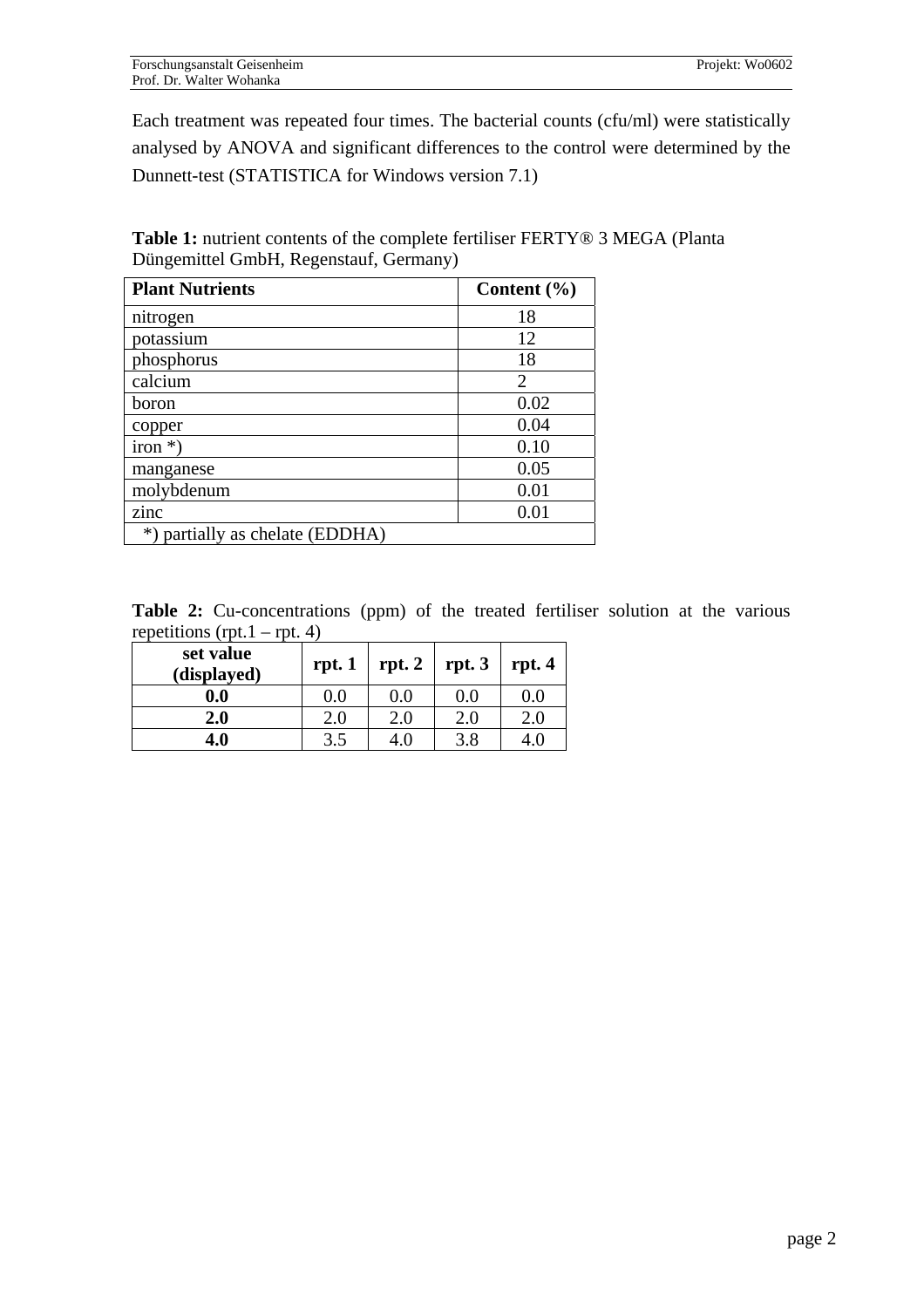Each treatment was repeated four times. The bacterial counts (cfu/ml) were statistically analysed by ANOVA and significant differences to the control were determined by the Dunnett-test (STATISTICA for Windows version 7.1)

**Table 1:** nutrient contents of the complete fertiliser FERTY® 3 MEGA (Planta Düngemittel GmbH, Regenstauf, Germany)

| <b>Plant Nutrients</b>          | Content $(\% )$ |
|---------------------------------|-----------------|
| nitrogen                        | 18              |
| potassium                       | 12              |
| phosphorus                      | 18              |
| calcium                         | $\overline{2}$  |
| boron                           | 0.02            |
| copper                          | 0.04            |
| $iron *$ )                      | 0.10            |
| manganese                       | 0.05            |
| molybdenum                      | 0.01            |
| zinc                            | 0.01            |
| *) partially as chelate (EDDHA) |                 |

**Table 2:** Cu-concentrations (ppm) of the treated fertiliser solution at the various repetitions (rpt.  $1 - \text{rpt. } 4$ )

| set value<br>(displayed) | rpt.1   | rpt. 2 | rpt.3   | rpt.4   |
|--------------------------|---------|--------|---------|---------|
| 0.0                      | $0.0\,$ | 0.0    | 0.0     | 0.0     |
| 2.0                      | 2.0     | 2.0    | $2.0\,$ | $2.0\,$ |
| 4.0                      | 3.5     |        | 3.8     |         |